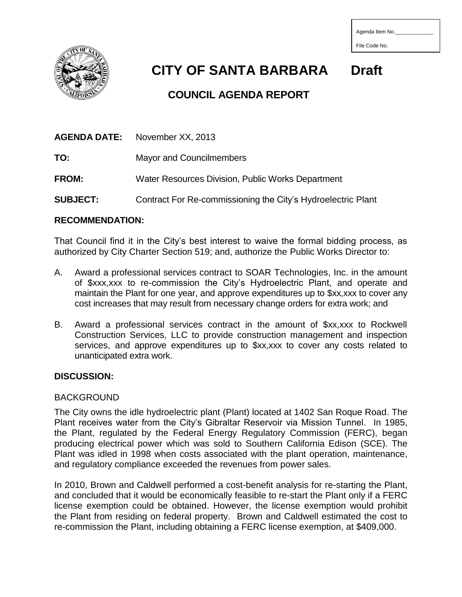| Agenda Item No. |  |
|-----------------|--|
|                 |  |
| File Code No.   |  |



 **CITY OF SANTA BARBARA Draft**

# **COUNCIL AGENDA REPORT**

| <b>AGENDA DATE:</b> | November XX, 2013                                            |
|---------------------|--------------------------------------------------------------|
| TO:                 | <b>Mayor and Councilmembers</b>                              |
| <b>FROM:</b>        | Water Resources Division, Public Works Department            |
| <b>SUBJECT:</b>     | Contract For Re-commissioning the City's Hydroelectric Plant |

## **RECOMMENDATION:**

That Council find it in the City's best interest to waive the formal bidding process, as authorized by City Charter Section 519; and, authorize the Public Works Director to:

- A. Award a professional services contract to SOAR Technologies, Inc. in the amount of \$xxx,xxx to re-commission the City's Hydroelectric Plant, and operate and maintain the Plant for one year, and approve expenditures up to \$xx,xxx to cover any cost increases that may result from necessary change orders for extra work; and
- B. Award a professional services contract in the amount of \$xx,xxx to Rockwell Construction Services, LLC to provide construction management and inspection services, and approve expenditures up to \$xx,xxx to cover any costs related to unanticipated extra work.

# **DISCUSSION:**

# BACKGROUND

The City owns the idle hydroelectric plant (Plant) located at 1402 San Roque Road. The Plant receives water from the City's Gibraltar Reservoir via Mission Tunnel. In 1985, the Plant, regulated by the Federal Energy Regulatory Commission (FERC), began producing electrical power which was sold to Southern California Edison (SCE). The Plant was idled in 1998 when costs associated with the plant operation, maintenance, and regulatory compliance exceeded the revenues from power sales.

In 2010, Brown and Caldwell performed a cost-benefit analysis for re-starting the Plant, and concluded that it would be economically feasible to re-start the Plant only if a FERC license exemption could be obtained. However, the license exemption would prohibit the Plant from residing on federal property. Brown and Caldwell estimated the cost to re-commission the Plant, including obtaining a FERC license exemption, at \$409,000.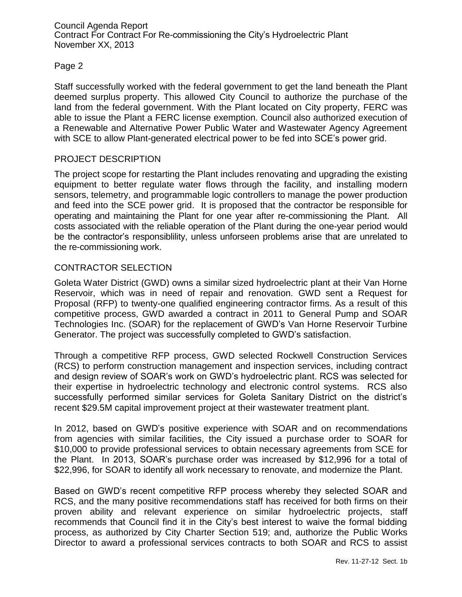Council Agenda Report Contract For Contract For Re-commissioning the City's Hydroelectric Plant November XX, 2013

## Page 2

Staff successfully worked with the federal government to get the land beneath the Plant deemed surplus property. This allowed City Council to authorize the purchase of the land from the federal government. With the Plant located on City property, FERC was able to issue the Plant a FERC license exemption. Council also authorized execution of a Renewable and Alternative Power Public Water and Wastewater Agency Agreement with SCE to allow Plant-generated electrical power to be fed into SCE's power grid.

#### PROJECT DESCRIPTION

The project scope for restarting the Plant includes renovating and upgrading the existing equipment to better regulate water flows through the facility, and installing modern sensors, telemetry, and programmable logic controllers to manage the power production and feed into the SCE power grid. It is proposed that the contractor be responsible for operating and maintaining the Plant for one year after re-commissioning the Plant. All costs associated with the reliable operation of the Plant during the one-year period would be the contractor's responsiblility, unless unforseen problems arise that are unrelated to the re-commissioning work.

## CONTRACTOR SELECTION

Goleta Water District (GWD) owns a similar sized hydroelectric plant at their Van Horne Reservoir, which was in need of repair and renovation. GWD sent a Request for Proposal (RFP) to twenty-one qualified engineering contractor firms. As a result of this competitive process, GWD awarded a contract in 2011 to General Pump and SOAR Technologies Inc. (SOAR) for the replacement of GWD's Van Horne Reservoir Turbine Generator. The project was successfully completed to GWD's satisfaction.

Through a competitive RFP process, GWD selected Rockwell Construction Services (RCS) to perform construction management and inspection services, including contract and design review of SOAR's work on GWD's hydroelectric plant. RCS was selected for their expertise in hydroelectric technology and electronic control systems. RCS also successfully performed similar services for Goleta Sanitary District on the district's recent \$29.5M capital improvement project at their wastewater treatment plant.

In 2012, based on GWD's positive experience with SOAR and on recommendations from agencies with similar facilities, the City issued a purchase order to SOAR for \$10,000 to provide professional services to obtain necessary agreements from SCE for the Plant. In 2013, SOAR's purchase order was increased by \$12,996 for a total of \$22,996, for SOAR to identify all work necessary to renovate, and modernize the Plant.

Based on GWD's recent competitive RFP process whereby they selected SOAR and RCS, and the many positive recommendations staff has received for both firms on their proven ability and relevant experience on similar hydroelectric projects, staff recommends that Council find it in the City's best interest to waive the formal bidding process, as authorized by City Charter Section 519; and, authorize the Public Works Director to award a professional services contracts to both SOAR and RCS to assist